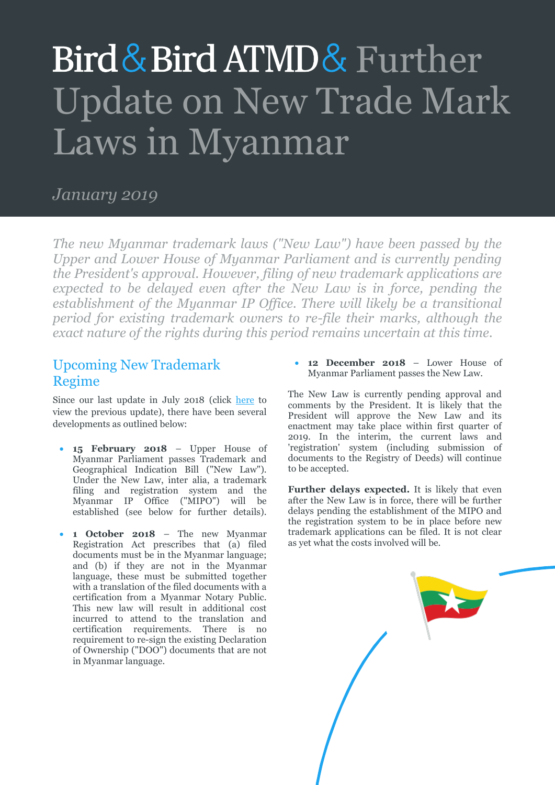# Bird & Bird ATMD & Further Update on New Trade Mark Laws in Myanmar

## *January 2019*

*The new Myanmar trademark laws ("New Law") have been passed by the Upper and Lower House of Myanmar Parliament and is currently pending the President's approval. However, filing of new trademark applications are*  expected to be delayed even after the New Law is in force, pending the establishment of the Myanmar IP Office. There will likely be a transitional *period for existing trademark owners to re-file their marks, although the exact nature of the rights during this period remains uncertain at this time.*

## Upcoming New Trademark Regime

Since our last update in July 2018 (click [here](https://www.twobirds.com/en/news/articles/2018/singapore/myanmar-new-trade-mark-regime) to view the previous update), there have been several developments as outlined below:

- **15 February 2018** Upper House of Myanmar Parliament passes Trademark and Geographical Indication Bill ("New Law"). Under the New Law, inter alia, a trademark filing and registration system and the Myanmar IP Office ("MIPO") will be established (see below for further details).
- **1 October 2018** The new Myanmar Registration Act prescribes that (a) filed documents must be in the Myanmar language; and (b) if they are not in the Myanmar language, these must be submitted together with a translation of the filed documents with a certification from a Myanmar Notary Public. This new law will result in additional cost incurred to attend to the translation and certification requirements. There is no requirement to re-sign the existing Declaration of Ownership ("DOO") documents that are not in Myanmar language.

 **12 December 2018** – Lower House of Myanmar Parliament passes the New Law.

The New Law is currently pending approval and comments by the President. It is likely that the President will approve the New Law and its enactment may take place within first quarter of 2019. In the interim, the current laws and 'registration' system (including submission of documents to the Registry of Deeds) will continue to be accepted.

**Further delays expected.** It is likely that even after the New Law is in force, there will be further delays pending the establishment of the MIPO and the registration system to be in place before new trademark applications can be filed. It is not clear as yet what the costs involved will be.

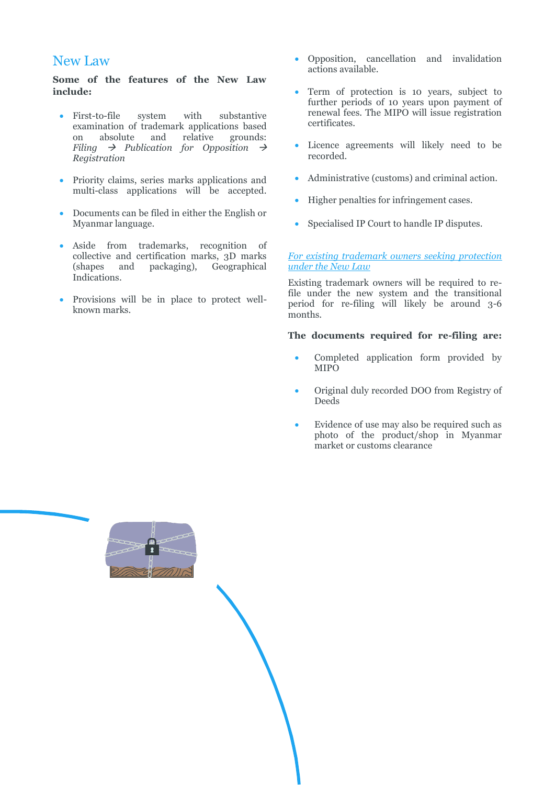### New Law

**Some of the features of the New Law include:**

- First-to-file system with substantive examination of trademark applications based<br>on absolute and relative grounds: on absolute and relative grounds: *Filing*  $\rightarrow$  *Publication for Opposition*  $\rightarrow$ *Registration*
- Priority claims, series marks applications and multi-class applications will be accepted.
- Documents can be filed in either the English or Myanmar language.
- Aside from trademarks, recognition of collective and certification marks, 3D marks (shapes and packaging), Geographical Indications.
- Provisions will be in place to protect wellknown marks.
- Opposition, cancellation and invalidation actions available.
- Term of protection is 10 years, subject to further periods of 10 years upon payment of renewal fees. The MIPO will issue registration certificates.
- Licence agreements will likely need to be recorded.
- Administrative (customs) and criminal action.
- Higher penalties for infringement cases.
- Specialised IP Court to handle IP disputes.

#### *For existing trademark owners seeking protection under the New Law*

Existing trademark owners will be required to refile under the new system and the transitional period for re-filing will likely be around 3-6 months.

### **The documents required for re-filing are:**

- Completed application form provided by MIPO
- Original duly recorded DOO from Registry of Deeds
- Evidence of use may also be required such as photo of the product/shop in Myanmar market or customs clearance

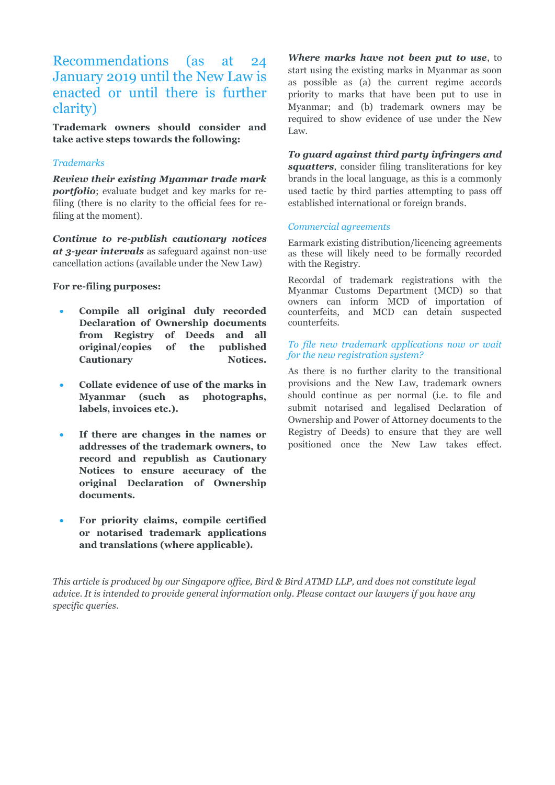## Recommendations (as at 24 January 2019 until the New Law is enacted or until there is further clarity)

**Trademark owners should consider and take active steps towards the following:**

### *Trademarks*

*Review their existing Myanmar trade mark portfolio*; evaluate budget and key marks for refiling (there is no clarity to the official fees for refiling at the moment).

*Continue to re-publish cautionary notices at 3-year intervals* as safeguard against non-use cancellation actions (available under the New Law)

#### **For re-filing purposes:**

- **Compile all original duly recorded Declaration of Ownership documents from Registry of Deeds and all original/copies of the published**  Cautionary **Notices.**
- **Collate evidence of use of the marks in Myanmar (such as photographs, labels, invoices etc.).**
- **If there are changes in the names or addresses of the trademark owners, to record and republish as Cautionary Notices to ensure accuracy of the original Declaration of Ownership documents.**
- **For priority claims, compile certified or notarised trademark applications and translations (where applicable).**

*Where marks have not been put to use*, to start using the existing marks in Myanmar as soon as possible as (a) the current regime accords priority to marks that have been put to use in Myanmar; and (b) trademark owners may be required to show evidence of use under the New Law.

*To guard against third party infringers and squatters*, consider filing transliterations for key brands in the local language, as this is a commonly used tactic by third parties attempting to pass off established international or foreign brands.

#### *Commercial agreements*

Earmark existing distribution/licencing agreements as these will likely need to be formally recorded with the Registry.

Recordal of trademark registrations with the Myanmar Customs Department (MCD) so that owners can inform MCD of importation of counterfeits, and MCD can detain suspected counterfeits.

*To file new trademark applications now or wait for the new registration system?*

As there is no further clarity to the transitional provisions and the New Law, trademark owners should continue as per normal (i.e. to file and submit notarised and legalised Declaration of Ownership and Power of Attorney documents to the Registry of Deeds) to ensure that they are well positioned once the New Law takes effect.

*This article is produced by our Singapore office, Bird & Bird ATMD LLP, and does not constitute legal advice. It is intended to provide general information only. Please contact our lawyers if you have any specific queries.*